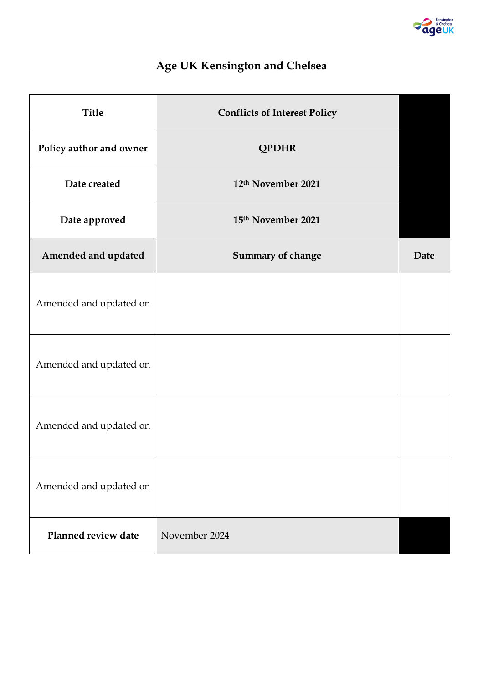

# **Age UK Kensington and Chelsea**

| <b>Title</b>            | <b>Conflicts of Interest Policy</b> |      |
|-------------------------|-------------------------------------|------|
| Policy author and owner | <b>QPDHR</b>                        |      |
| Date created            | 12th November 2021                  |      |
| Date approved           | 15th November 2021                  |      |
| Amended and updated     | Summary of change                   | Date |
| Amended and updated on  |                                     |      |
| Amended and updated on  |                                     |      |
| Amended and updated on  |                                     |      |
| Amended and updated on  |                                     |      |
| Planned review date     | November 2024                       |      |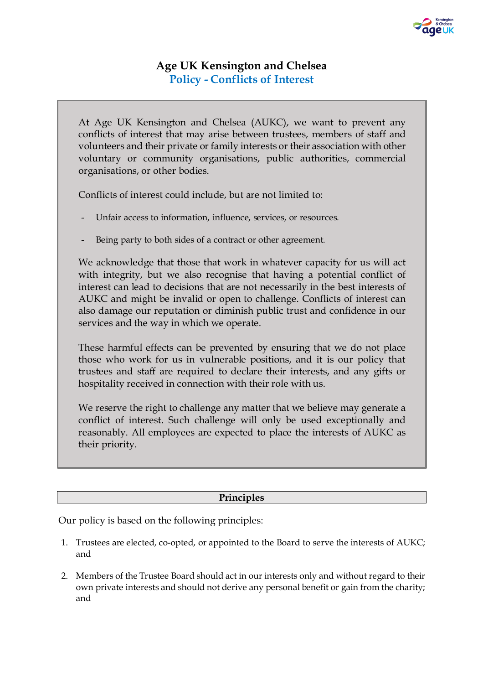# **Age UK Kensington and Chelsea Policy - Conflicts of Interest**

At Age UK Kensington and Chelsea (AUKC), we want to prevent any conflicts of interest that may arise between trustees, members of staff and volunteers and their private or family interests or their association with other voluntary or community organisations, public authorities, commercial organisations, or other bodies.

Conflicts of interest could include, but are not limited to:

- Unfair access to information, influence, services, or resources.
- Being party to both sides of a contract or other agreement.

We acknowledge that those that work in whatever capacity for us will act with integrity, but we also recognise that having a potential conflict of interest can lead to decisions that are not necessarily in the best interests of AUKC and might be invalid or open to challenge. Conflicts of interest can also damage our reputation or diminish public trust and confidence in our services and the way in which we operate.

These harmful effects can be prevented by ensuring that we do not place those who work for us in vulnerable positions, and it is our policy that trustees and staff are required to declare their interests, and any gifts or hospitality received in connection with their role with us.

We reserve the right to challenge any matter that we believe may generate a conflict of interest. Such challenge will only be used exceptionally and reasonably. All employees are expected to place the interests of AUKC as their priority.

## **Principles**

Our policy is based on the following principles:

- 1. Trustees are elected, co-opted, or appointed to the Board to serve the interests of AUKC; and
- 2. Members of the Trustee Board should act in our interests only and without regard to their own private interests and should not derive any personal benefit or gain from the charity; and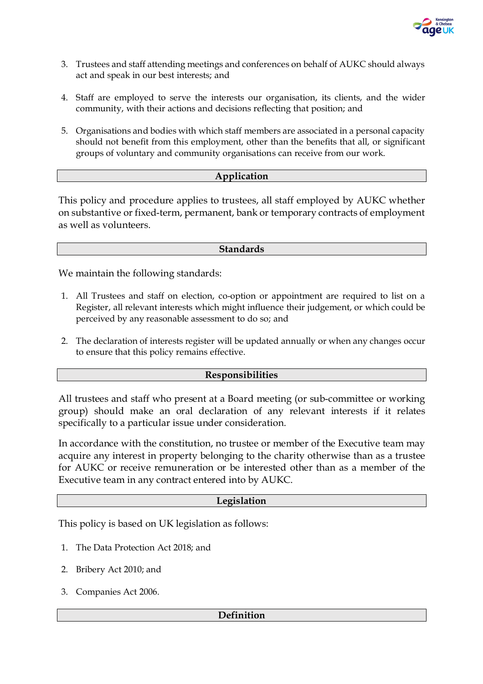

- 3. Trustees and staff attending meetings and conferences on behalf of AUKC should always act and speak in our best interests; and
- 4. Staff are employed to serve the interests our organisation, its clients, and the wider community, with their actions and decisions reflecting that position; and
- 5. Organisations and bodies with which staff members are associated in a personal capacity should not benefit from this employment, other than the benefits that all, or significant groups of voluntary and community organisations can receive from our work.

### **Application**

This policy and procedure applies to trustees, all staff employed by AUKC whether on substantive or fixed-term, permanent, bank or temporary contracts of employment as well as volunteers.

#### **Standards**

We maintain the following standards:

- 1. All Trustees and staff on election, co-option or appointment are required to list on a Register, all relevant interests which might influence their judgement, or which could be perceived by any reasonable assessment to do so; and
- 2. The declaration of interests register will be updated annually or when any changes occur to ensure that this policy remains effective.

#### **Responsibilities**

All trustees and staff who present at a Board meeting (or sub-committee or working group) should make an oral declaration of any relevant interests if it relates specifically to a particular issue under consideration.

In accordance with the constitution, no trustee or member of the Executive team may acquire any interest in property belonging to the charity otherwise than as a trustee for AUKC or receive remuneration or be interested other than as a member of the Executive team in any contract entered into by AUKC.

#### **Legislation**

This policy is based on UK legislation as follows:

- 1. The Data Protection Act 2018; and
- 2. Bribery Act 2010; and
- 3. Companies Act 2006.

#### **Definition**